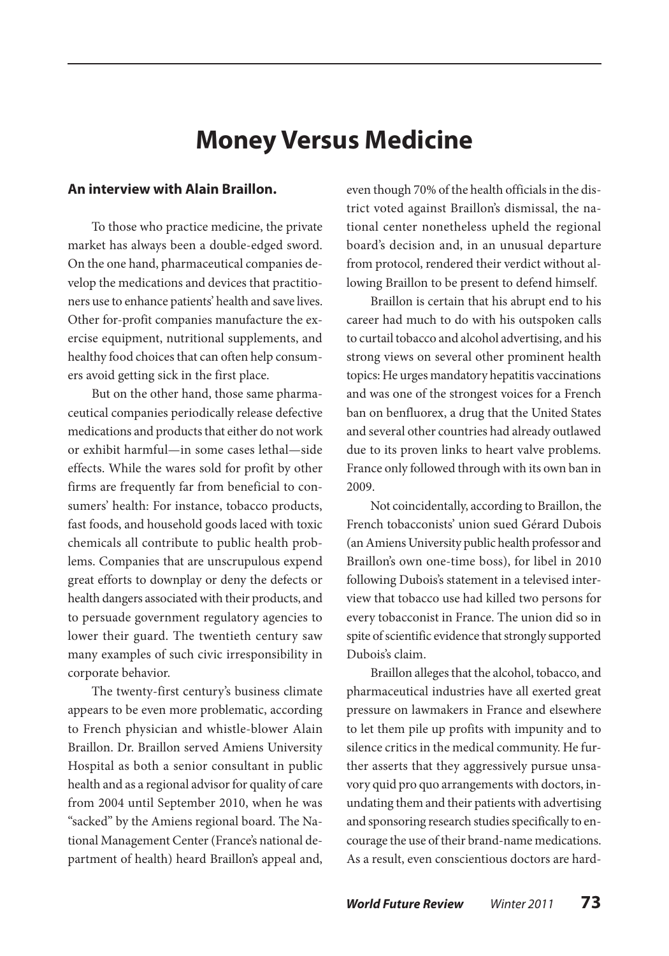## **Money Versus Medicine**

## **An interview with Alain Braillon.**

To those who practice medicine, the private market has always been a double-edged sword. On the one hand, pharmaceutical companies develop the medications and devices that practitioners use to enhance patients' health and save lives. Other for-profit companies manufacture the exercise equipment, nutritional supplements, and healthy food choices that can often help consumers avoid getting sick in the first place.

But on the other hand, those same pharmaceutical companies periodically release defective medications and products that either do not work or exhibit harmful—in some cases lethal—side effects. While the wares sold for profit by other firms are frequently far from beneficial to consumers' health: For instance, tobacco products, fast foods, and household goods laced with toxic chemicals all contribute to public health problems. Companies that are unscrupulous expend great efforts to downplay or deny the defects or health dangers associated with their products, and to persuade government regulatory agencies to lower their guard. The twentieth century saw many examples of such civic irresponsibility in corporate behavior.

The twenty-first century's business climate appears to be even more problematic, according to French physician and whistle-blower Alain Braillon. Dr. Braillon served Amiens University Hospital as both a senior consultant in public health and as a regional advisor for quality of care from 2004 until September 2010, when he was "sacked" by the Amiens regional board. The National Management Center (France's national department of health) heard Braillon's appeal and,

even though 70% of the health officials in the district voted against Braillon's dismissal, the national center nonetheless upheld the regional board's decision and, in an unusual departure from protocol, rendered their verdict without allowing Braillon to be present to defend himself.

Braillon is certain that his abrupt end to his career had much to do with his outspoken calls to curtail tobacco and alcohol advertising, and his strong views on several other prominent health topics: He urges mandatory hepatitis vaccinations and was one of the strongest voices for a French ban on benfluorex, a drug that the United States and several other countries had already outlawed due to its proven links to heart valve problems. France only followed through with its own ban in 2009.

Not coincidentally, according to Braillon, the French tobacconists' union sued Gérard Dubois (an Amiens University public health professor and Braillon's own one-time boss), for libel in 2010 following Dubois's statement in a televised interview that tobacco use had killed two persons for every tobacconist in France. The union did so in spite of scientific evidence that strongly supported Dubois's claim.

Braillon alleges that the alcohol, tobacco, and pharmaceutical industries have all exerted great pressure on lawmakers in France and elsewhere to let them pile up profits with impunity and to silence critics in the medical community. He further asserts that they aggressively pursue unsavory quid pro quo arrangements with doctors, inundating them and their patients with advertising and sponsoring research studies specifically to encourage the use of their brand-name medications. As a result, even conscientious doctors are hard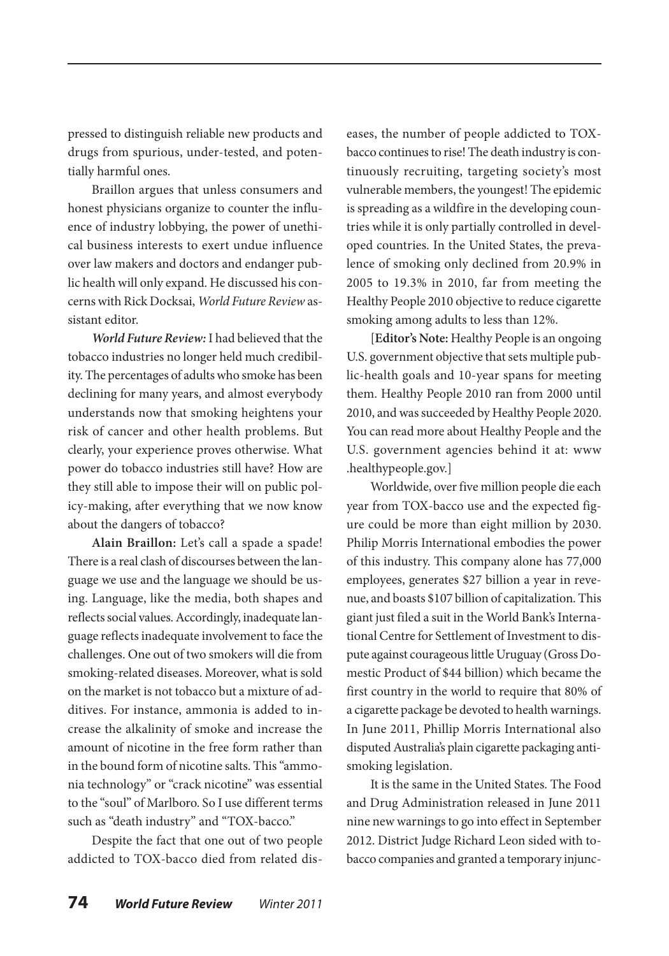pressed to distinguish reliable new products and drugs from spurious, under-tested, and potentially harmful ones.

Braillon argues that unless consumers and honest physicians organize to counter the influence of industry lobbying, the power of unethical business interests to exert undue influence over law makers and doctors and endanger public health will only expand. He discussed his concerns with Rick Docksai, World Future Review assistant editor.

**World Future Review:** I had believed that the tobacco industries no longer held much credibility. The percentages of adults who smoke has been declining for many years, and almost everybody understands now that smoking heightens your risk of cancer and other health problems. But clearly, your experience proves otherwise. What power do tobacco industries still have? How are they still able to impose their will on public policy-making, after everything that we now know about the dangers of tobacco?

**Alain Braillon:** Let's call a spade a spade! There is a real clash of discourses between the language we use and the language we should be using. Language, like the media, both shapes and reflects social values. Accordingly, inadequate language reflects inadequate involvement to face the challenges. One out of two smokers will die from smoking-related diseases. Moreover, what is sold on the market is not tobacco but a mixture of additives. For instance, ammonia is added to increase the alkalinity of smoke and increase the amount of nicotine in the free form rather than in the bound form of nicotine salts. This "ammonia technology" or "crack nicotine" was essential to the "soul" of Marlboro. So I use different terms such as "death industry" and "TOX-bacco."

Despite the fact that one out of two people addicted to TOX-bacco died from related diseases, the number of people addicted to TOXbacco continues to rise! The death industry is continuously recruiting, targeting society's most vulnerable members, the youngest! The epidemic is spreading as a wildfire in the developing countries while it is only partially controlled in developed countries. In the United States, the prevalence of smoking only declined from 20.9% in 2005 to 19.3% in 2010, far from meeting the Healthy People 2010 objective to reduce cigarette smoking among adults to less than 12%.

[**Editor's Note:** Healthy People is an ongoing U.S. government objective that sets multiple public-health goals and 10-year spans for meeting them. Healthy People 2010 ran from 2000 until 2010, and was succeeded by Healthy People 2020. You can read more about Healthy People and the U.S. government agencies behind it at: www .healthypeople.gov.]

Worldwide, over five million people die each year from TOX-bacco use and the expected figure could be more than eight million by 2030. Philip Morris International embodies the power of this industry. This company alone has 77,000 employees, generates \$27 billion a year in revenue, and boasts \$107 billion of capitalization. This giant just filed a suit in the World Bank's International Centre for Settlement of Investment to dispute against courageous little Uruguay (Gross Domestic Product of \$44 billion) which became the first country in the world to require that 80% of a cigarette package be devoted to health warnings. In June 2011, Phillip Morris International also disputed Australia's plain cigarette packaging antismoking legislation.

It is the same in the United States. The Food and Drug Administration released in June 2011 nine new warnings to go into effect in September 2012. District Judge Richard Leon sided with tobacco companies and granted a temporary injunc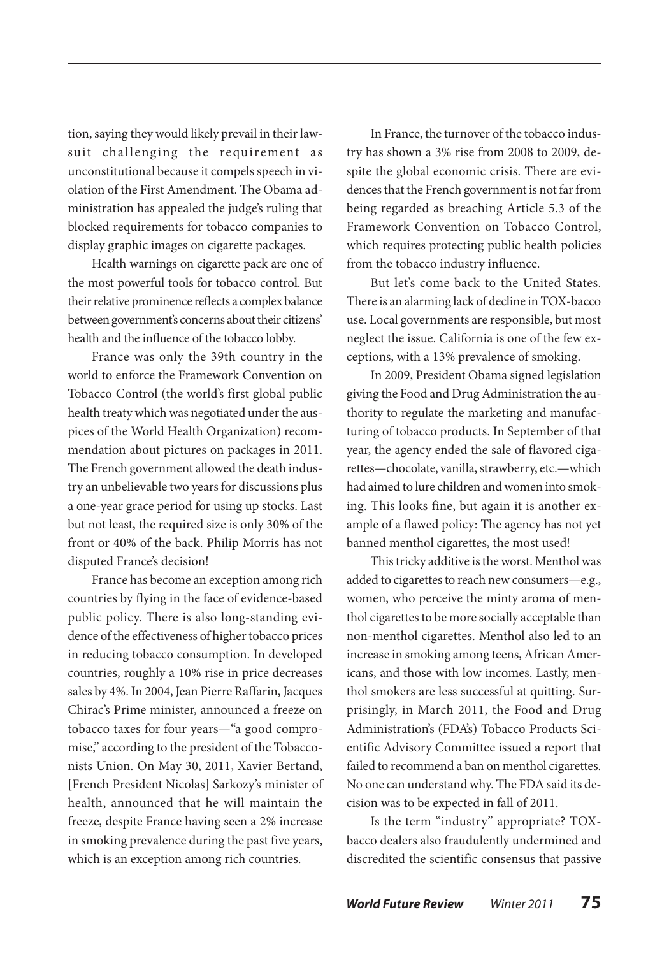tion, saying they would likely prevail in their lawsuit challenging the requirement as unconstitutional because it compels speech in violation of the First Amendment. The Obama administration has appealed the judge's ruling that blocked requirements for tobacco companies to display graphic images on cigarette packages.

Health warnings on cigarette pack are one of the most powerful tools for tobacco control. But their relative prominence reflects a complex balance between government's concerns about their citizens' health and the influence of the tobacco lobby.

France was only the 39th country in the world to enforce the Framework Convention on Tobacco Control (the world's first global public health treaty which was negotiated under the auspices of the World Health Organization) recommendation about pictures on packages in 2011. The French government allowed the death industry an unbelievable two years for discussions plus a one-year grace period for using up stocks. Last but not least, the required size is only 30% of the front or 40% of the back. Philip Morris has not disputed France's decision!

France has become an exception among rich countries by flying in the face of evidence-based public policy. There is also long-standing evidence of the effectiveness of higher tobacco prices in reducing tobacco consumption. In developed countries, roughly a 10% rise in price decreases sales by 4%. In 2004, Jean Pierre Raffarin, Jacques Chirac's Prime minister, announced a freeze on tobacco taxes for four years—"a good compromise," according to the president of the Tobacconists Union. On May 30, 2011, Xavier Bertand, [French President Nicolas] Sarkozy's minister of health, announced that he will maintain the freeze, despite France having seen a 2% increase in smoking prevalence during the past five years, which is an exception among rich countries.

In France, the turnover of the tobacco industry has shown a 3% rise from 2008 to 2009, despite the global economic crisis. There are evidences that the French government is not far from being regarded as breaching Article 5.3 of the Framework Convention on Tobacco Control, which requires protecting public health policies from the tobacco industry influence.

But let's come back to the United States. There is an alarming lack of decline in TOX-bacco use. Local governments are responsible, but most neglect the issue. California is one of the few exceptions, with a 13% prevalence of smoking.

In 2009, President Obama signed legislation giving the Food and Drug Administration the authority to regulate the marketing and manufacturing of tobacco products. In September of that year, the agency ended the sale of flavored cigarettes—chocolate, vanilla, strawberry, etc.—which had aimed to lure children and women into smoking. This looks fine, but again it is another example of a flawed policy: The agency has not yet banned menthol cigarettes, the most used!

This tricky additive is the worst. Menthol was added to cigarettes to reach new consumers—e.g., women, who perceive the minty aroma of menthol cigarettes to be more socially acceptable than non-menthol cigarettes. Menthol also led to an increase in smoking among teens, African Americans, and those with low incomes. Lastly, menthol smokers are less successful at quitting. Surprisingly, in March 2011, the Food and Drug Administration's (FDA's) Tobacco Products Scientific Advisory Committee issued a report that failed to recommend a ban on menthol cigarettes. No one can understand why. The FDA said its decision was to be expected in fall of 2011.

Is the term "industry" appropriate? TOXbacco dealers also fraudulently undermined and discredited the scientific consensus that passive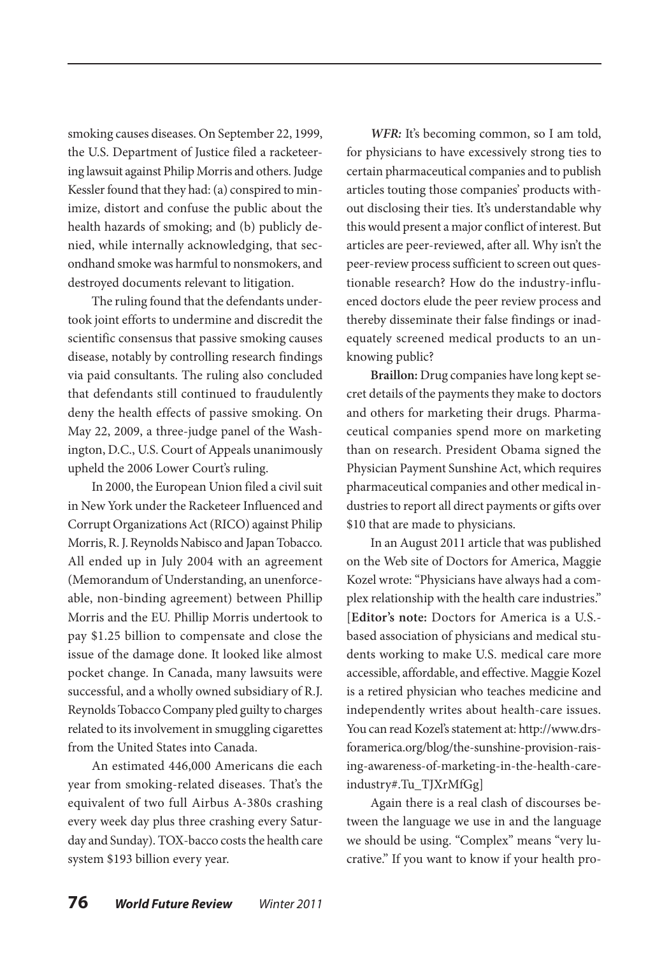smoking causes diseases. On September 22, 1999, the U.S. Department of Justice filed a racketeering lawsuit against Philip Morris and others. Judge Kessler found that they had: (a) conspired to minimize, distort and confuse the public about the health hazards of smoking; and (b) publicly denied, while internally acknowledging, that secondhand smoke was harmful to nonsmokers, and destroyed documents relevant to litigation.

The ruling found that the defendants undertook joint efforts to undermine and discredit the scientific consensus that passive smoking causes disease, notably by controlling research findings via paid consultants. The ruling also concluded that defendants still continued to fraudulently deny the health effects of passive smoking. On May 22, 2009, a three-judge panel of the Washington, D.C., U.S. Court of Appeals unanimously upheld the 2006 Lower Court's ruling.

In 2000, the European Union filed a civil suit in New York under the Racketeer Influenced and Corrupt Organizations Act (RICO) against Philip Morris, R. J. Reynolds Nabisco and Japan Tobacco. All ended up in July 2004 with an agreement (Memorandum of Understanding, an unenforceable, non-binding agreement) between Phillip Morris and the EU. Phillip Morris undertook to pay \$1.25 billion to compensate and close the issue of the damage done. It looked like almost pocket change. In Canada, many lawsuits were successful, and a wholly owned subsidiary of R.J. Reynolds Tobacco Company pled guilty to charges related to its involvement in smuggling cigarettes from the United States into Canada.

An estimated 446,000 Americans die each year from smoking-related diseases. That's the equivalent of two full Airbus A-380s crashing every week day plus three crashing every Saturday and Sunday). TOX-bacco costs the health care system \$193 billion every year.

**WFR:** It's becoming common, so I am told, for physicians to have excessively strong ties to certain pharmaceutical companies and to publish articles touting those companies' products without disclosing their ties. It's understandable why this would present a major conflict of interest. But articles are peer-reviewed, after all. Why isn't the peer-review process sufficient to screen out questionable research? How do the industry-influenced doctors elude the peer review process and thereby disseminate their false findings or inadequately screened medical products to an unknowing public?

**Braillon:** Drug companies have long kept secret details of the payments they make to doctors and others for marketing their drugs. Pharmaceutical companies spend more on marketing than on research. President Obama signed the Physician Payment Sunshine Act, which requires pharmaceutical companies and other medical industries to report all direct payments or gifts over \$10 that are made to physicians.

In an August 2011 article that was published on the Web site of Doctors for America, Maggie Kozel wrote: "Physicians have always had a complex relationship with the health care industries." [**Editor's note:** Doctors for America is a U.S. based association of physicians and medical students working to make U.S. medical care more accessible, affordable, and effective. Maggie Kozel is a retired physician who teaches medicine and independently writes about health-care issues. You can read Kozel's statement at: http://www.drsforamerica.org/blog/the-sunshine-provision-raising-awareness-of-marketing-in-the-health-careindustry#.Tu\_TJXrMfGg]

Again there is a real clash of discourses between the language we use in and the language we should be using. "Complex" means "very lucrative." If you want to know if your health pro-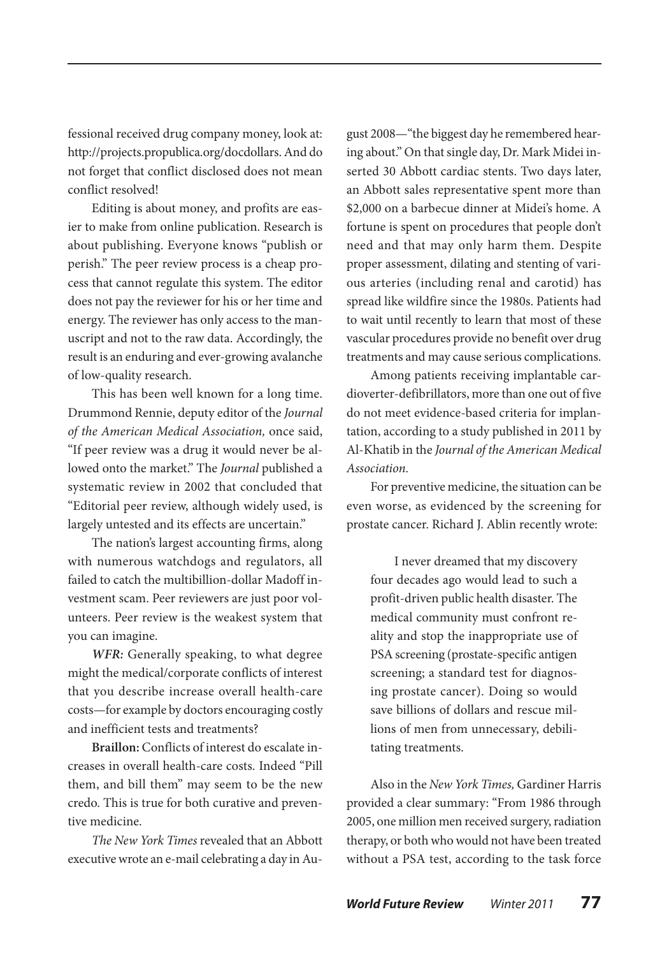fessional received drug company money, look at: http://projects.propublica.org/docdollars. And do not forget that conflict disclosed does not mean conflict resolved!

Editing is about money, and profits are easier to make from online publication. Research is about publishing. Everyone knows "publish or perish." The peer review process is a cheap process that cannot regulate this system. The editor does not pay the reviewer for his or her time and energy. The reviewer has only access to the manuscript and not to the raw data. Accordingly, the result is an enduring and ever-growing avalanche of low-quality research.

This has been well known for a long time. Drummond Rennie, deputy editor of the Journal of the American Medical Association, once said, "If peer review was a drug it would never be allowed onto the market." The Journal published a systematic review in 2002 that concluded that "Editorial peer review, although widely used, is largely untested and its effects are uncertain."

The nation's largest accounting firms, along with numerous watchdogs and regulators, all failed to catch the multibillion-dollar Madoff investment scam. Peer reviewers are just poor volunteers. Peer review is the weakest system that you can imagine.

**WFR:** Generally speaking, to what degree might the medical/corporate conflicts of interest that you describe increase overall health-care costs—for example by doctors encouraging costly and inefficient tests and treatments?

**Braillon:** Conflicts of interest do escalate increases in overall health-care costs. Indeed "Pill them, and bill them" may seem to be the new credo. This is true for both curative and preventive medicine.

The New York Times revealed that an Abbott executive wrote an e-mail celebrating a day in August 2008—"the biggest day he remembered hearing about." On that single day, Dr. Mark Midei inserted 30 Abbott cardiac stents. Two days later, an Abbott sales representative spent more than \$2,000 on a barbecue dinner at Midei's home. A fortune is spent on procedures that people don't need and that may only harm them. Despite proper assessment, dilating and stenting of various arteries (including renal and carotid) has spread like wildfire since the 1980s. Patients had to wait until recently to learn that most of these vascular procedures provide no benefit over drug treatments and may cause serious complications.

Among patients receiving implantable cardioverter-defibrillators, more than one out of five do not meet evidence-based criteria for implantation, according to a study published in 2011 by Al-Khatib in the Journal of the American Medical Association.

For preventive medicine, the situation can be even worse, as evidenced by the screening for prostate cancer. Richard J. Ablin recently wrote:

I never dreamed that my discovery four decades ago would lead to such a profit-driven public health disaster. The medical community must confront reality and stop the inappropriate use of PSA screening (prostate-specific antigen screening; a standard test for diagnosing prostate cancer). Doing so would save billions of dollars and rescue millions of men from unnecessary, debilitating treatments.

Also in the New York Times, Gardiner Harris provided a clear summary: "From 1986 through 2005, one million men received surgery, radiation therapy, or both who would not have been treated without a PSA test, according to the task force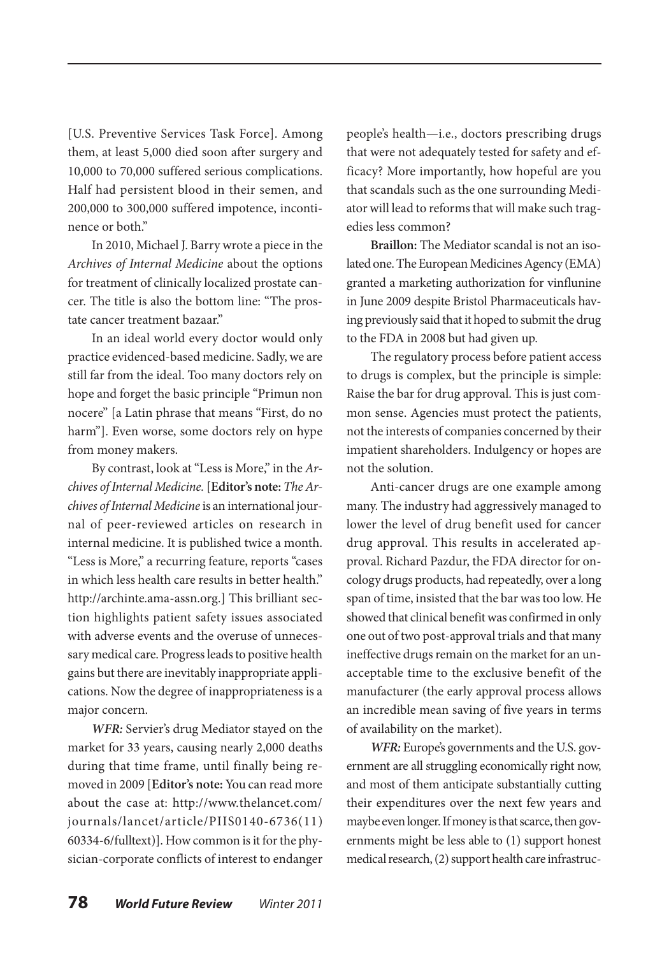[U.S. Preventive Services Task Force]. Among them, at least 5,000 died soon after surgery and 10,000 to 70,000 suffered serious complications. Half had persistent blood in their semen, and 200,000 to 300,000 suffered impotence, incontinence or both."

In 2010, Michael J. Barry wrote a piece in the Archives of Internal Medicine about the options for treatment of clinically localized prostate cancer. The title is also the bottom line: "The prostate cancer treatment bazaar."

In an ideal world every doctor would only practice evidenced-based medicine. Sadly, we are still far from the ideal. Too many doctors rely on hope and forget the basic principle "Primun non nocere" [a Latin phrase that means "First, do no harm"]. Even worse, some doctors rely on hype from money makers.

By contrast, look at "Less is More," in the Archives of Internal Medicine. [**Editor's note:** The Archives of Internal Medicine is an international journal of peer-reviewed articles on research in internal medicine. It is published twice a month. "Less is More," a recurring feature, reports "cases in which less health care results in better health." http://archinte.ama-assn.org.] This brilliant section highlights patient safety issues associated with adverse events and the overuse of unnecessary medical care. Progress leads to positive health gains but there are inevitably inappropriate applications. Now the degree of inappropriateness is a major concern.

**WFR:** Servier's drug Mediator stayed on the market for 33 years, causing nearly 2,000 deaths during that time frame, until finally being removed in 2009 [**Editor's note:** You can read more about the case at: http://www.thelancet.com/ journals/lancet/article/PIIS0140-6736(11) 60334-6/fulltext)]. How common is it for the physician-corporate conflicts of interest to endanger people's health—i.e., doctors prescribing drugs that were not adequately tested for safety and efficacy? More importantly, how hopeful are you that scandals such as the one surrounding Mediator will lead to reforms that will make such tragedies less common?

**Braillon:** The Mediator scandal is not an isolated one. The European Medicines Agency (EMA) granted a marketing authorization for vinflunine in June 2009 despite Bristol Pharmaceuticals having previously said that it hoped to submit the drug to the FDA in 2008 but had given up.

The regulatory process before patient access to drugs is complex, but the principle is simple: Raise the bar for drug approval. This is just common sense. Agencies must protect the patients, not the interests of companies concerned by their impatient shareholders. Indulgency or hopes are not the solution.

Anti-cancer drugs are one example among many. The industry had aggressively managed to lower the level of drug benefit used for cancer drug approval. This results in accelerated approval. Richard Pazdur, the FDA director for oncology drugs products, had repeatedly, over a long span of time, insisted that the bar was too low. He showed that clinical benefit was confirmed in only one out of two post-approval trials and that many ineffective drugs remain on the market for an unacceptable time to the exclusive benefit of the manufacturer (the early approval process allows an incredible mean saving of five years in terms of availability on the market).

**WFR:** Europe's governments and the U.S. government are all struggling economically right now, and most of them anticipate substantially cutting their expenditures over the next few years and maybe even longer. If money is that scarce, then governments might be less able to (1) support honest medical research, (2) support health care infrastruc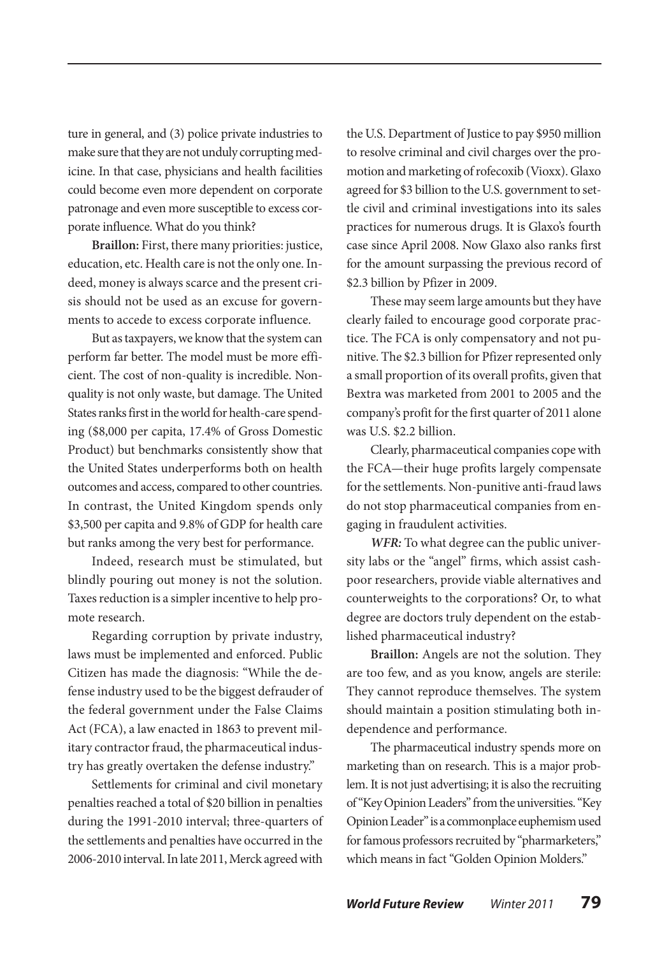ture in general, and (3) police private industries to make sure that they are not unduly corrupting medicine. In that case, physicians and health facilities could become even more dependent on corporate patronage and even more susceptible to excess corporate influence. What do you think?

**Braillon:** First, there many priorities: justice, education, etc. Health care is not the only one. Indeed, money is always scarce and the present crisis should not be used as an excuse for governments to accede to excess corporate influence.

But as taxpayers, we know that the system can perform far better. The model must be more efficient. The cost of non-quality is incredible. Nonquality is not only waste, but damage. The United States ranks first in the world for health-care spending (\$8,000 per capita, 17.4% of Gross Domestic Product) but benchmarks consistently show that the United States underperforms both on health outcomes and access, compared to other countries. In contrast, the United Kingdom spends only \$3,500 per capita and 9.8% of GDP for health care but ranks among the very best for performance.

Indeed, research must be stimulated, but blindly pouring out money is not the solution. Taxes reduction is a simpler incentive to help promote research.

Regarding corruption by private industry, laws must be implemented and enforced. Public Citizen has made the diagnosis: "While the defense industry used to be the biggest defrauder of the federal government under the False Claims Act (FCA), a law enacted in 1863 to prevent military contractor fraud, the pharmaceutical industry has greatly overtaken the defense industry."

Settlements for criminal and civil monetary penalties reached a total of \$20 billion in penalties during the 1991-2010 interval; three-quarters of the settlements and penalties have occurred in the 2006-2010 interval. In late 2011, Merck agreed with

the U.S. Department of Justice to pay \$950 million to resolve criminal and civil charges over the promotion and marketing of rofecoxib (Vioxx). Glaxo agreed for \$3 billion to the U.S. government to settle civil and criminal investigations into its sales practices for numerous drugs. It is Glaxo's fourth case since April 2008. Now Glaxo also ranks first for the amount surpassing the previous record of \$2.3 billion by Pfizer in 2009.

These may seem large amounts but they have clearly failed to encourage good corporate practice. The FCA is only compensatory and not punitive. The \$2.3 billion for Pfizer represented only a small proportion of its overall profits, given that Bextra was marketed from 2001 to 2005 and the company's profit for the first quarter of 2011 alone was U.S. \$2.2 billion.

Clearly, pharmaceutical companies cope with the FCA—their huge profits largely compensate for the settlements. Non-punitive anti-fraud laws do not stop pharmaceutical companies from engaging in fraudulent activities.

**WFR:** To what degree can the public university labs or the "angel" firms, which assist cashpoor researchers, provide viable alternatives and counterweights to the corporations? Or, to what degree are doctors truly dependent on the established pharmaceutical industry?

**Braillon:** Angels are not the solution. They are too few, and as you know, angels are sterile: They cannot reproduce themselves. The system should maintain a position stimulating both independence and performance.

The pharmaceutical industry spends more on marketing than on research. This is a major problem. It is not just advertising; it is also the recruiting of "Key Opinion Leaders" from the universities. "Key Opinion Leader" is a commonplace euphemism used for famous professors recruited by "pharmarketers," which means in fact "Golden Opinion Molders."